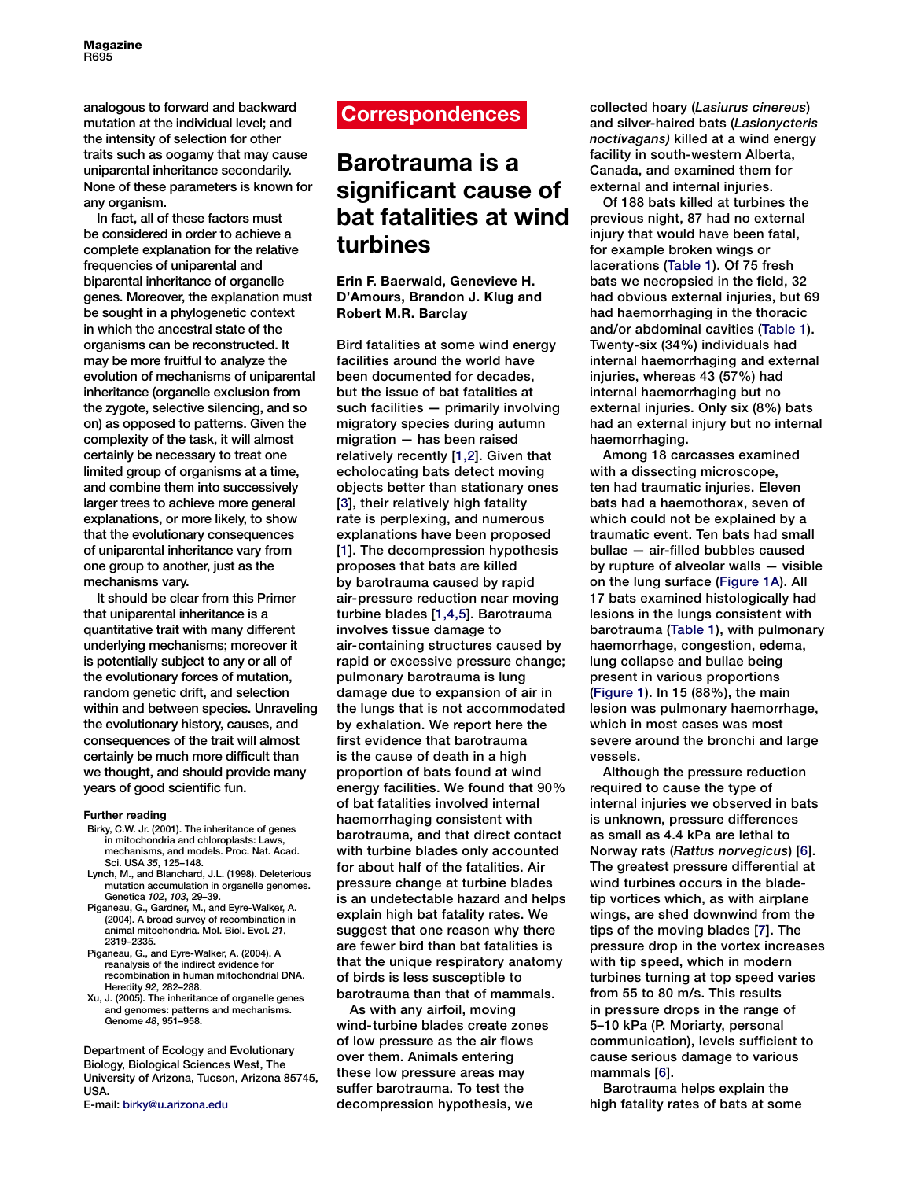analogous to forward and backward mutation at the individual level; and the intensity of selection for other traits such as oogamy that may cause uniparental inheritance secondarily. None of these parameters is known for any organism.

In fact, all of these factors must be considered in order to achieve a complete explanation for the relative frequencies of uniparental and biparental inheritance of organelle genes. Moreover, the explanation must be sought in a phylogenetic context in which the ancestral state of the organisms can be reconstructed. It may be more fruitful to analyze the evolution of mechanisms of uniparental inheritance (organelle exclusion from the zygote, selective silencing, and so on) as opposed to patterns. Given the complexity of the task, it will almost certainly be necessary to treat one limited group of organisms at a time, and combine them into successively larger trees to achieve more general explanations, or more likely, to show that the evolutionary consequences of uniparental inheritance vary from one group to another, just as the mechanisms vary.

It should be clear from this Primer that uniparental inheritance is a quantitative trait with many different underlying mechanisms; moreover it is potentially subject to any or all of the evolutionary forces of mutation, random genetic drift, and selection within and between species. Unraveling the evolutionary history, causes, and consequences of the trait will almost certainly be much more difficult than we thought, and should provide many years of good scientific fun.

## **Further reading**

- Birky, C.W. Jr. (2001). The inheritance of genes in mitochondria and chloroplasts: Laws, mechanisms, and models. Proc. Nat. Acad. Sci. USA *35*, 125–148.
- Lynch, M., and Blanchard, J.L. (1998). Deleterious mutation accumulation in organelle genomes. Genetica *102*, *103*, 29–39.
- Piganeau, G., Gardner, M., and Eyre-Walker, A. (2004). A broad survey of recombination in animal mitochondria. Mol. Biol. Evol. *21*, 2319–2335.
- Piganeau, G., and Eyre-Walker, A. (2004). A reanalysis of the indirect evidence for recombination in human mitochondrial DNA. Heredity *92*, 282–288.
- Xu, J. (2005). The inheritance of organelle genes and genomes: patterns and mechanisms. Genome *48*, 951–958.

Department of Ecology and Evolutionary Biology, Biological Sciences West, The University of Arizona, Tucson, Arizona 85745, USA.

E-mail: birky@u.arizona.edu

# **Correspondences**

# **Barotrauma is a significant cause of bat fatalities at wind turbines**

**Erin F. Baerwald, Genevieve H. D'Amours, Brandon J. Klug and Robert M.R. Barclay**

Bird fatalities at some wind energy facilities around the world have been documented for decades, but the issue of bat fatalities at such facilities — primarily involving migratory species during autumn migration — has been raised relatively recently [\[1,2\]](#page-1-0). Given that echolocating bats detect moving objects better than stationary ones [\[3\]](#page-1-0), their relatively high fatality rate is perplexing, and numerous explanations have been proposed [\[1\]](#page-1-0). The decompression hypothesis proposes that bats are killed by barotrauma caused by rapid air-pressure reduction near moving turbine blades [\[1,4,5\]](#page-1-0). Barotrauma involves tissue damage to air-containing structures caused by rapid or excessive pressure change: pulmonary barotrauma is lung damage due to expansion of air in the lungs that is not accommodated by exhalation. We report here the first evidence that barotrauma is the cause of death in a high proportion of bats found at wind energy facilities. We found that 90% of bat fatalities involved internal haemorrhaging consistent with barotrauma, and that direct contact with turbine blades only accounted for about half of the fatalities. Air pressure change at turbine blades is an undetectable hazard and helps explain high bat fatality rates. We suggest that one reason why there are fewer bird than bat fatalities is that the unique respiratory anatomy of birds is less susceptible to barotrauma than that of mammals.

As with any airfoil, moving wind-turbine blades create zones of low pressure as the air flows over them. Animals entering these low pressure areas may suffer barotrauma. To test the decompression hypothesis, we

collected hoary (*Lasiurus cinereus*) and silver-haired bats (*Lasionycteris noctivagans)* killed at a wind energy facility in south-western Alberta, Canada, and examined them for external and internal injuries.

Of 188 bats killed at turbines the previous night, 87 had no external injury that would have been fatal, for example broken wings or lacerations [\(Table 1\)](#page-1-0). Of 75 fresh bats we necropsied in the field, 32 had obvious external injuries, but 69 had haemorrhaging in the thoracic and/or abdominal cavities [\(Table](#page-1-0) 1). Twenty-six (34%) individuals had internal haemorrhaging and external injuries, whereas 43 (57%) had internal haemorrhaging but no external injuries. Only six (8%) bats had an external injury but no internal haemorrhaging.

Among 18 carcasses examined with a dissecting microscope, ten had traumatic injuries. Eleven bats had a haemothorax, seven of which could not be explained by a traumatic event. Ten bats had small bullae — air-filled bubbles caused by rupture of alveolar walls — visible on the lung surface [\(Figure 1A\).](#page-1-0) All 17 bats examined histologically had lesions in the lungs consistent with barotrauma [\(Table 1\)](#page-1-0), with pulmonary haemorrhage, congestion, edema, lung collapse and bullae being present in various proportions [\(Figure 1\)](#page-1-0). In 15 (88%), the main lesion was pulmonary haemorrhage, which in most cases was most severe around the bronchi and large vessels.

Although the pressure reduction required to cause the type of internal injuries we observed in bats is unknown, pressure differences as small as 4.4 kPa are lethal to Norway rats (*Rattus norvegicus*) [\[6\].](#page-1-0) The greatest pressure differential at wind turbines occurs in the bladetip vortices which, as with airplane wings, are shed downwind from the tips of the moving blade[s \[7\].](#page-1-0) The pressure drop in the vortex increases with tip speed, which in modern turbines turning at top speed varies from 55 to 80 m/s. This results in pressure drops in the range of 5–10 kPa (P. Moriarty, personal communication), levels sufficient to cause serious damage to various mammals [\[6\].](#page-1-0) 

Barotrauma helps explain the high fatality rates of bats at some